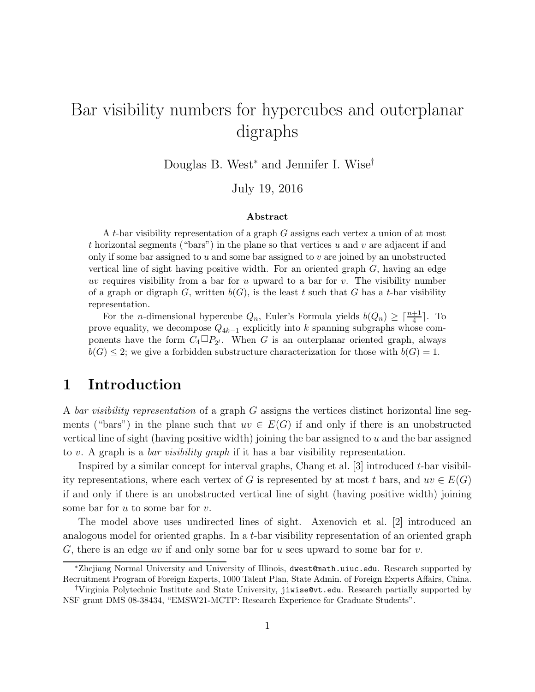# Bar visibility numbers for hypercubes and outerplanar digraphs

Douglas B. West<sup>∗</sup> and Jennifer I. Wise†

July 19, 2016

#### Abstract

A t-bar visibility representation of a graph G assigns each vertex a union of at most t horizontal segments ("bars") in the plane so that vertices  $u$  and  $v$  are adjacent if and only if some bar assigned to  $u$  and some bar assigned to  $v$  are joined by an unobstructed vertical line of sight having positive width. For an oriented graph  $G$ , having an edge uv requires visibility from a bar for u upward to a bar for v. The visibility number of a graph or digraph G, written  $b(G)$ , is the least t such that G has a t-bar visibility representation.

For the *n*-dimensional hypercube  $Q_n$ , Euler's Formula yields  $b(Q_n) \geq \lceil \frac{n+1}{4} \rceil$ . To prove equality, we decompose  $Q_{4k-1}$  explicitly into k spanning subgraphs whose components have the form  $C_4 \Box P_{2^l}$ . When G is an outerplanar oriented graph, always  $b(G) \leq 2$ ; we give a forbidden substructure characterization for those with  $b(G) = 1$ .

#### 1 Introduction

A bar visibility representation of a graph G assigns the vertices distinct horizontal line segments ("bars") in the plane such that  $uv \in E(G)$  if and only if there is an unobstructed vertical line of sight (having positive width) joining the bar assigned to  $u$  and the bar assigned to v. A graph is a *bar visibility graph* if it has a bar visibility representation.

Inspired by a similar concept for interval graphs, Chang et al.  $[3]$  introduced t-bar visibility representations, where each vertex of G is represented by at most t bars, and  $uv \in E(G)$ if and only if there is an unobstructed vertical line of sight (having positive width) joining some bar for  $u$  to some bar for  $v$ .

The model above uses undirected lines of sight. Axenovich et al. [2] introduced an analogous model for oriented graphs. In a t-bar visibility representation of an oriented graph G, there is an edge uv if and only some bar for u sees upward to some bar for  $v$ .

<sup>∗</sup>Zhejiang Normal University and University of Illinois, dwest@math.uiuc.edu. Research supported by Recruitment Program of Foreign Experts, 1000 Talent Plan, State Admin. of Foreign Experts Affairs, China.

<sup>†</sup>Virginia Polytechnic Institute and State University, jiwise@vt.edu. Research partially supported by NSF grant DMS 08-38434, "EMSW21-MCTP: Research Experience for Graduate Students".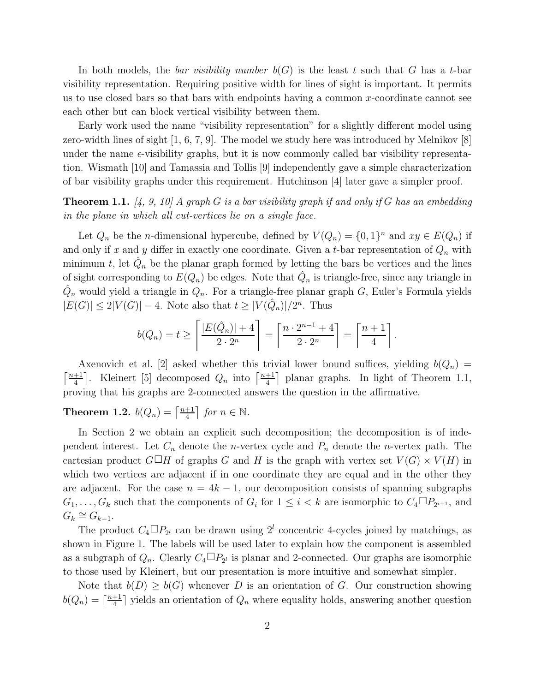In both models, the *bar visibility number*  $b(G)$  is the least t such that G has a t-bar visibility representation. Requiring positive width for lines of sight is important. It permits us to use closed bars so that bars with endpoints having a common  $x$ -coordinate cannot see each other but can block vertical visibility between them.

Early work used the name "visibility representation" for a slightly different model using zero-width lines of sight [1, 6, 7, 9]. The model we study here was introduced by Melnikov [8] under the name  $\epsilon$ -visibility graphs, but it is now commonly called bar visibility representation. Wismath [10] and Tamassia and Tollis [9] independently gave a simple characterization of bar visibility graphs under this requirement. Hutchinson [4] later gave a simpler proof.

**Theorem 1.1.** [4, 9, 10] A graph G is a bar visibility graph if and only if G has an embedding in the plane in which all cut-vertices lie on a single face.

Let  $Q_n$  be the *n*-dimensional hypercube, defined by  $V(Q_n) = \{0,1\}^n$  and  $xy \in E(Q_n)$  if and only if x and y differ in exactly one coordinate. Given a t-bar representation of  $Q_n$  with minimum t, let  $\hat{Q}_n$  be the planar graph formed by letting the bars be vertices and the lines of sight corresponding to  $E(Q_n)$  be edges. Note that  $\hat{Q}_n$  is triangle-free, since any triangle in  $\hat{Q}_n$  would yield a triangle in  $Q_n$ . For a triangle-free planar graph G, Euler's Formula yields  $|E(G)| \leq 2|V(G)| - 4$ . Note also that  $t \geq |V(\hat{Q}_n)|/2^n$ . Thus

$$
b(Q_n) = t \ge \left\lceil \frac{|E(\hat{Q}_n)| + 4}{2 \cdot 2^n} \right\rceil = \left\lceil \frac{n \cdot 2^{n-1} + 4}{2 \cdot 2^n} \right\rceil = \left\lceil \frac{n+1}{4} \right\rceil.
$$

Axenovich et al. [2] asked whether this trivial lower bound suffices, yielding  $b(Q_n)$  =  $\lceil \frac{n+1}{4} \rceil$  $\frac{+1}{4}$ . Kleinert [5] decomposed  $Q_n$  into  $\lceil \frac{n+1}{4} \rceil$ .  $\frac{+1}{4}$  planar graphs. In light of Theorem 1.1, proving that his graphs are 2-connected answers the question in the affirmative.

**Theorem 1.2.**  $b(Q_n) = \left\lceil \frac{n+1}{4} \right\rceil$  $\frac{+1}{4}$  for  $n \in \mathbb{N}$ .

In Section 2 we obtain an explicit such decomposition; the decomposition is of independent interest. Let  $C_n$  denote the *n*-vertex cycle and  $P_n$  denote the *n*-vertex path. The cartesian product  $G \square H$  of graphs G and H is the graph with vertex set  $V(G) \times V(H)$  in which two vertices are adjacent if in one coordinate they are equal and in the other they are adjacent. For the case  $n = 4k - 1$ , our decomposition consists of spanning subgraphs  $G_1, \ldots, G_k$  such that the components of  $G_i$  for  $1 \leq i < k$  are isomorphic to  $C_4 \Box P_{2^{i+1}}$ , and  $G_k \cong G_{k-1}.$ 

The product  $C_4 \Box P_{2^l}$  can be drawn using  $2^l$  concentric 4-cycles joined by matchings, as shown in Figure 1. The labels will be used later to explain how the component is assembled as a subgraph of  $Q_n$ . Clearly  $C_4 \Box P_{2^l}$  is planar and 2-connected. Our graphs are isomorphic to those used by Kleinert, but our presentation is more intuitive and somewhat simpler.

Note that  $b(D) \geq b(G)$  whenever D is an orientation of G. Our construction showing  $b(Q_n) = \lceil \frac{n+1}{4} \rceil$  $\frac{+1}{4}$  yields an orientation of  $Q_n$  where equality holds, answering another question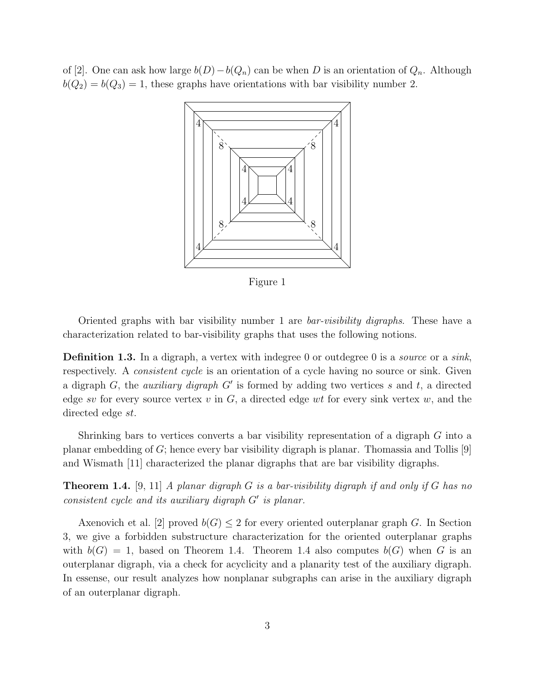of [2]. One can ask how large  $b(D)-b(Q_n)$  can be when D is an orientation of  $Q_n$ . Although  $b(Q_2) = b(Q_3) = 1$ , these graphs have orientations with bar visibility number 2.



Figure 1

Oriented graphs with bar visibility number 1 are *bar-visibility digraphs*. These have a characterization related to bar-visibility graphs that uses the following notions.

**Definition 1.3.** In a digraph, a vertex with indegree 0 or outdegree 0 is a *source* or a *sink*, respectively. A *consistent cycle* is an orientation of a cycle having no source or sink. Given a digraph  $G$ , the *auxiliary digraph*  $G'$  is formed by adding two vertices s and t, a directed edge sv for every source vertex v in  $G$ , a directed edge wt for every sink vertex w, and the directed edge st.

Shrinking bars to vertices converts a bar visibility representation of a digraph G into a planar embedding of G; hence every bar visibility digraph is planar. Thomassia and Tollis [9] and Wismath [11] characterized the planar digraphs that are bar visibility digraphs.

**Theorem 1.4.** [9, 11] A planar digraph G is a bar-visibility digraph if and only if G has no consistent cycle and its auxiliary digraph G′ is planar.

Axenovich et al. [2] proved  $b(G) \leq 2$  for every oriented outerplanar graph G. In Section 3, we give a forbidden substructure characterization for the oriented outerplanar graphs with  $b(G) = 1$ , based on Theorem 1.4. Theorem 1.4 also computes  $b(G)$  when G is an outerplanar digraph, via a check for acyclicity and a planarity test of the auxiliary digraph. In essense, our result analyzes how nonplanar subgraphs can arise in the auxiliary digraph of an outerplanar digraph.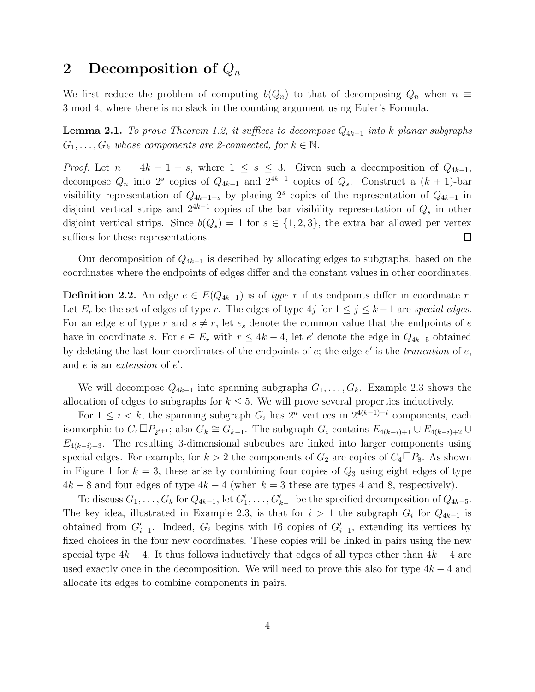#### 2 Decomposition of  $Q_n$

We first reduce the problem of computing  $b(Q_n)$  to that of decomposing  $Q_n$  when  $n \equiv$ 3 mod 4, where there is no slack in the counting argument using Euler's Formula.

**Lemma 2.1.** To prove Theorem 1.2, it suffices to decompose  $Q_{4k-1}$  into k planar subgraphs  $G_1, \ldots, G_k$  whose components are 2-connected, for  $k \in \mathbb{N}$ .

*Proof.* Let  $n = 4k - 1 + s$ , where  $1 \leq s \leq 3$ . Given such a decomposition of  $Q_{4k-1}$ , decompose  $Q_n$  into  $2^s$  copies of  $Q_{4k-1}$  and  $2^{4k-1}$  copies of  $Q_s$ . Construct a  $(k+1)$ -bar visibility representation of  $Q_{4k-1+s}$  by placing 2<sup>s</sup> copies of the representation of  $Q_{4k-1}$  in disjoint vertical strips and  $2^{4k-1}$  copies of the bar visibility representation of  $Q_s$  in other disjoint vertical strips. Since  $b(Q_s) = 1$  for  $s \in \{1, 2, 3\}$ , the extra bar allowed per vertex suffices for these representations.  $\Box$ 

Our decomposition of  $Q_{4k-1}$  is described by allocating edges to subgraphs, based on the coordinates where the endpoints of edges differ and the constant values in other coordinates.

**Definition 2.2.** An edge  $e \text{ } \in E(Q_{4k-1})$  is of type r if its endpoints differ in coordinate r. Let  $E_r$  be the set of edges of type r. The edges of type 4j for  $1 \le j \le k-1$  are special edges. For an edge e of type r and  $s \neq r$ , let  $e_s$  denote the common value that the endpoints of e have in coordinate s. For  $e \in E_r$  with  $r \leq 4k-4$ , let e' denote the edge in  $Q_{4k-5}$  obtained by deleting the last four coordinates of the endpoints of  $e$ ; the edge  $e'$  is the *truncation* of  $e$ , and  $e$  is an *extension* of  $e'$ .

We will decompose  $Q_{4k-1}$  into spanning subgraphs  $G_1, \ldots, G_k$ . Example 2.3 shows the allocation of edges to subgraphs for  $k \leq 5$ . We will prove several properties inductively.

For  $1 \leq i \leq k$ , the spanning subgraph  $G_i$  has  $2^n$  vertices in  $2^{4(k-1)-i}$  components, each isomorphic to  $C_4 \Box P_{2^{i+1}}$ ; also  $G_k \cong G_{k-1}$ . The subgraph  $G_i$  contains  $E_{4(k-i)+1} \cup E_{4(k-i)+2} \cup$  $E_{4(k-i)+3}$ . The resulting 3-dimensional subcubes are linked into larger components using special edges. For example, for  $k > 2$  the components of  $G_2$  are copies of  $C_4 \Box P_8$ . As shown in Figure 1 for  $k = 3$ , these arise by combining four copies of  $Q_3$  using eight edges of type  $4k - 8$  and four edges of type  $4k - 4$  (when  $k = 3$  these are types 4 and 8, respectively).

To discuss  $G_1, \ldots, G_k$  for  $Q_{4k-1}$ , let  $G'_1, \ldots, G'_{k-1}$  be the specified decomposition of  $Q_{4k-5}$ . The key idea, illustrated in Example 2.3, is that for  $i > 1$  the subgraph  $G_i$  for  $Q_{4k-1}$  is obtained from  $G'_{i-1}$ . Indeed,  $G_i$  begins with 16 copies of  $G'_{i-1}$ , extending its vertices by fixed choices in the four new coordinates. These copies will be linked in pairs using the new special type  $4k - 4$ . It thus follows inductively that edges of all types other than  $4k - 4$  are used exactly once in the decomposition. We will need to prove this also for type  $4k - 4$  and allocate its edges to combine components in pairs.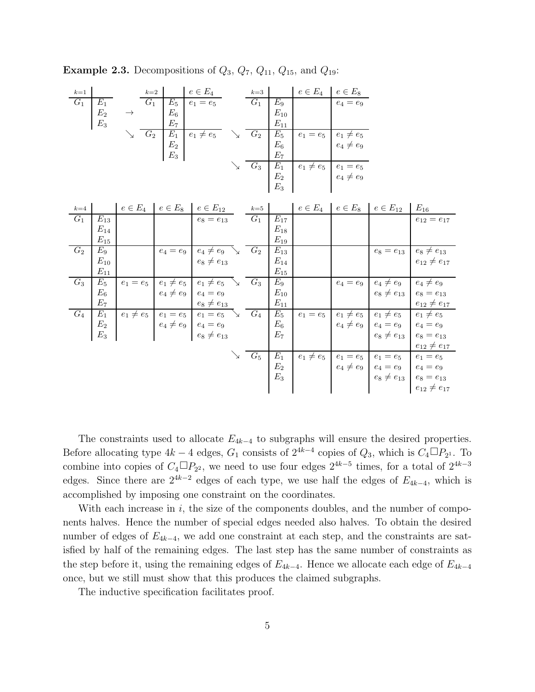| <b>Example 2.3.</b> Decompositions of $Q_3$ , $Q_7$ , $Q_{11}$ , $Q_{15}$ , and $Q_{19}$ : |  |  |  |  |  |  |  |
|--------------------------------------------------------------------------------------------|--|--|--|--|--|--|--|
|--------------------------------------------------------------------------------------------|--|--|--|--|--|--|--|

| $k=1$            |                    | $k=2$ |                 | $e \in E_4$    |   | $k=3$ |                                           | $e \in E_4$    | $e \in E_8$                      |
|------------------|--------------------|-------|-----------------|----------------|---|-------|-------------------------------------------|----------------|----------------------------------|
| $\overline{G_1}$ | $\scriptstyle E_1$ | $G_1$ | $E_5$           | $e_1 = e_5$    |   | $G_1$ | $E_{9}$                                   |                | $e_4 = e_9$                      |
|                  | E <sub>2</sub>     |       | $E_6$           |                |   |       | $\mathcal{E}_{10}$                        |                |                                  |
|                  | $E_3$              |       | $E_7$           |                |   |       | $E_{11}$                                  |                |                                  |
|                  |                    | $G_2$ | $E_1$           | $e_1 \neq e_5$ | ↘ | $G_2$ |                                           | $e_1 = e_5$    |                                  |
|                  |                    |       | $\mathcal{E}_2$ |                |   |       | $\begin{array}{c} E_5 \\ E_6 \end{array}$ |                | $e_1 \neq e_5$<br>$e_4 \neq e_9$ |
|                  |                    |       | $E_3$           |                |   |       | E <sub>7</sub>                            |                |                                  |
|                  |                    |       |                 |                |   | $G_3$ | $\overline{E_1}$<br>$E_2$<br>$E_3$        | $e_1 \neq e_5$ |                                  |
|                  |                    |       |                 |                |   |       |                                           |                | $e_1 = e_5$<br>$e_4 \neq e_9$    |
|                  |                    |       |                 |                |   |       |                                           |                |                                  |

| $k=4$ |                | $e \in E_4$ | $e \in E_8$                | $e \in E_{12}$                                                                                             | $k=5$  |                   | $e \in E_4$ | $e \in E_8$ | $e \in E_{12}$                         | $E_{16}$                                                                                                                                                                                            |
|-------|----------------|-------------|----------------------------|------------------------------------------------------------------------------------------------------------|--------|-------------------|-------------|-------------|----------------------------------------|-----------------------------------------------------------------------------------------------------------------------------------------------------------------------------------------------------|
| $G_1$ | $E_{13}$       |             |                            | $e_8 = e_{13}$                                                                                             | $G_1$  | $E_{17}$          |             |             |                                        | $e_{12}=e_{17}$                                                                                                                                                                                     |
|       | $E_{14}$       |             |                            |                                                                                                            |        | $E_{18}$          |             |             |                                        |                                                                                                                                                                                                     |
|       | $E_{15}$       |             |                            |                                                                                                            |        | $E_{19}$          |             |             |                                        |                                                                                                                                                                                                     |
| $G_2$ | $E_9$          |             | $e_4 = e_9$                | $e_4 \neq e_9$ $\searrow$                                                                                  | $-G_2$ | $E_{13}$          |             |             |                                        | $e_8 = e_{13}$ $e_8 \neq e_{13}$                                                                                                                                                                    |
|       | $E_{10}$       |             |                            | $e_8\neq e_{13}$                                                                                           |        | $E_{14}$          |             |             |                                        | $e_{12} \neq e_{17}$                                                                                                                                                                                |
|       | $E_{11}$       |             |                            |                                                                                                            |        | $E_{15}$          |             |             |                                        |                                                                                                                                                                                                     |
| $G_3$ | $E_5$          | $e_1 = e_5$ | $e_1 \neq e_5$             | $e_1 \neq e_5$                                                                                             | $G_3$  | $E_9$             |             | $e_4 = e_9$ | $e_4 \neq e_9$                         | $e_4 \neq e_9$                                                                                                                                                                                      |
|       | $E_{\rm 6}$    |             | $e_4 \neq e_9$ $e_4 = e_9$ |                                                                                                            |        | $E_{10}$          |             |             | $e_8 \neq e_{13}$                      | $e_8 = e_{13}$                                                                                                                                                                                      |
|       | $E_7$          |             |                            | $e_8\neq e_{13}$                                                                                           |        | $E_{11}$          |             |             |                                        | $e_{12} \neq e_{17}$                                                                                                                                                                                |
| $G_4$ | $E_1$          |             |                            | $e_1 \neq e_5$ $e_1 = e_5$ $e_1 = e_5$ $\overline{G_4}$<br>$e_4 \neq e_9$ $e_4 = e_9$<br>$e_8 \neq e_{13}$ |        | $E_5$             | $e_1=e_5$   |             | $e_1 \neq e_5$ $e_1 \neq e_5$          | $e_1 \neq e_5$                                                                                                                                                                                      |
|       | $E_2$<br>$E_3$ |             |                            |                                                                                                            |        | $\frac{E_6}{E_7}$ |             |             | $e_4 \neq e_9$ $e_4 = e_9$ $e_4 = e_9$ |                                                                                                                                                                                                     |
|       |                |             |                            |                                                                                                            |        |                   |             |             | $e_8 \neq e_{13}$                      | $e_8 = e_{13}$                                                                                                                                                                                      |
|       |                |             |                            |                                                                                                            |        |                   |             |             |                                        | $e_{12} \neq e_{17}$                                                                                                                                                                                |
|       |                |             |                            |                                                                                                            | $-G_5$ | $E_1$             |             |             |                                        |                                                                                                                                                                                                     |
|       |                |             |                            |                                                                                                            |        | $E_2$<br>$E_3$    |             |             |                                        |                                                                                                                                                                                                     |
|       |                |             |                            |                                                                                                            |        |                   |             |             |                                        |                                                                                                                                                                                                     |
|       |                |             |                            |                                                                                                            |        |                   |             |             |                                        | $\begin{array}{c c c c c c} \hline e_1 \neq e_5 & e_1=e_5 & e_1=e_5 & e_1=e_5 \\ e_4 \neq e_9 & e_4=e_9 & e_4=e_9 & \\ e_8 \neq e_{13} & e_8=e_{13} & \\ e_{12} \neq e_{17} & & \hline \end{array}$ |
|       |                |             |                            |                                                                                                            |        |                   |             |             |                                        |                                                                                                                                                                                                     |

The constraints used to allocate  $E_{4k-4}$  to subgraphs will ensure the desired properties. Before allocating type  $4k-4$  edges,  $G_1$  consists of  $2^{4k-4}$  copies of  $Q_3$ , which is  $C_4 \Box P_{2^1}$ . To combine into copies of  $C_4 \Box P_{2^2}$ , we need to use four edges  $2^{4k-5}$  times, for a total of  $2^{4k-3}$ edges. Since there are  $2^{4k-2}$  edges of each type, we use half the edges of  $E_{4k-4}$ , which is accomplished by imposing one constraint on the coordinates.

With each increase in  $i$ , the size of the components doubles, and the number of components halves. Hence the number of special edges needed also halves. To obtain the desired number of edges of  $E_{4k-4}$ , we add one constraint at each step, and the constraints are satisfied by half of the remaining edges. The last step has the same number of constraints as the step before it, using the remaining edges of  $E_{4k-4}$ . Hence we allocate each edge of  $E_{4k-4}$ once, but we still must show that this produces the claimed subgraphs.

The inductive specification facilitates proof.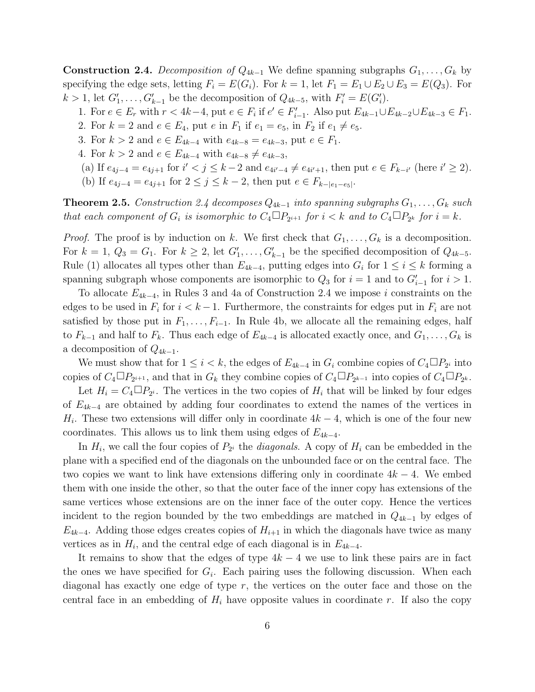**Construction 2.4.** Decomposition of  $Q_{4k-1}$  We define spanning subgraphs  $G_1, \ldots, G_k$  by specifying the edge sets, letting  $F_i = E(G_i)$ . For  $k = 1$ , let  $F_1 = E_1 \cup E_2 \cup E_3 = E(Q_3)$ . For  $k > 1$ , let  $G'_1, \ldots, G'_{k-1}$  be the decomposition of  $Q_{4k-5}$ , with  $F'_i = E(G'_i)$ .

- 1. For  $e \in E_r$  with  $r < 4k-4$ , put  $e \in F_i$  if  $e' \in F'_{i-1}$ . Also put  $E_{4k-1} \cup E_{4k-2} \cup E_{4k-3} \in F_1$ .
- 2. For  $k = 2$  and  $e \in E_4$ , put  $e$  in  $F_1$  if  $e_1 = e_5$ , in  $F_2$  if  $e_1 \neq e_5$ .
- 3. For  $k > 2$  and  $e \in E_{4k-4}$  with  $e_{4k-8} = e_{4k-3}$ , put  $e \in F_1$ .
- 4. For  $k > 2$  and  $e \in E_{4k-4}$  with  $e_{4k-8} \neq e_{4k-3}$ ,
- (a) If  $e_{4j-4} = e_{4j+1}$  for  $i' < j \leq k-2$  and  $e_{4i'-4} \neq e_{4i'+1}$ , then put  $e \in F_{k-i'}$  (here  $i' \geq 2$ ).
- (b) If  $e_{4j-4} = e_{4j+1}$  for  $2 \le j \le k-2$ , then put  $e \in F_{k-|e_1-e_5|}$ .

**Theorem 2.5.** Construction 2.4 decomposes  $Q_{4k-1}$  into spanning subgraphs  $G_1, \ldots, G_k$  such that each component of  $G_i$  is isomorphic to  $C_4 \Box P_{2^{i+1}}$  for  $i < k$  and to  $C_4 \Box P_{2^k}$  for  $i = k$ .

*Proof.* The proof is by induction on k. We first check that  $G_1, \ldots, G_k$  is a decomposition. For  $k = 1, Q_3 = G_1$ . For  $k \geq 2$ , let  $G'_1, \ldots, G'_{k-1}$  be the specified decomposition of  $Q_{4k-5}$ . Rule (1) allocates all types other than  $E_{4k-4}$ , putting edges into  $G_i$  for  $1 \leq i \leq k$  forming a spanning subgraph whose components are isomorphic to  $Q_3$  for  $i = 1$  and to  $G'_{i-1}$  for  $i > 1$ .

To allocate  $E_{4k-4}$ , in Rules 3 and 4a of Construction 2.4 we impose i constraints on the edges to be used in  $F_i$  for  $i < k - 1$ . Furthermore, the constraints for edges put in  $F_i$  are not satisfied by those put in  $F_1, \ldots, F_{i-1}$ . In Rule 4b, we allocate all the remaining edges, half to  $F_{k-1}$  and half to  $F_k$ . Thus each edge of  $E_{4k-4}$  is allocated exactly once, and  $G_1, \ldots, G_k$  is a decomposition of  $Q_{4k-1}$ .

We must show that for  $1 \leq i < k$ , the edges of  $E_{4k-4}$  in  $G_i$  combine copies of  $C_4 \Box P_{2^i}$  into copies of  $C_4 \Box P_{2^{i+1}}$ , and that in  $G_k$  they combine copies of  $C_4 \Box P_{2^{k-1}}$  into copies of  $C_4 \Box P_{2^k}$ .

Let  $H_i = C_4 \Box P_{2^i}$ . The vertices in the two copies of  $H_i$  that will be linked by four edges of  $E_{4k-4}$  are obtained by adding four coordinates to extend the names of the vertices in  $H_i$ . These two extensions will differ only in coordinate  $4k-4$ , which is one of the four new coordinates. This allows us to link them using edges of  $E_{4k-4}$ .

In  $H_i$ , we call the four copies of  $P_{2^i}$  the *diagonals*. A copy of  $H_i$  can be embedded in the plane with a specified end of the diagonals on the unbounded face or on the central face. The two copies we want to link have extensions differing only in coordinate  $4k - 4$ . We embed them with one inside the other, so that the outer face of the inner copy has extensions of the same vertices whose extensions are on the inner face of the outer copy. Hence the vertices incident to the region bounded by the two embeddings are matched in  $Q_{4k-1}$  by edges of  $E_{4k-4}$ . Adding those edges creates copies of  $H_{i+1}$  in which the diagonals have twice as many vertices as in  $H_i$ , and the central edge of each diagonal is in  $E_{4k-4}$ .

It remains to show that the edges of type  $4k - 4$  we use to link these pairs are in fact the ones we have specified for  $G_i$ . Each pairing uses the following discussion. When each diagonal has exactly one edge of type  $r$ , the vertices on the outer face and those on the central face in an embedding of  $H_i$  have opposite values in coordinate r. If also the copy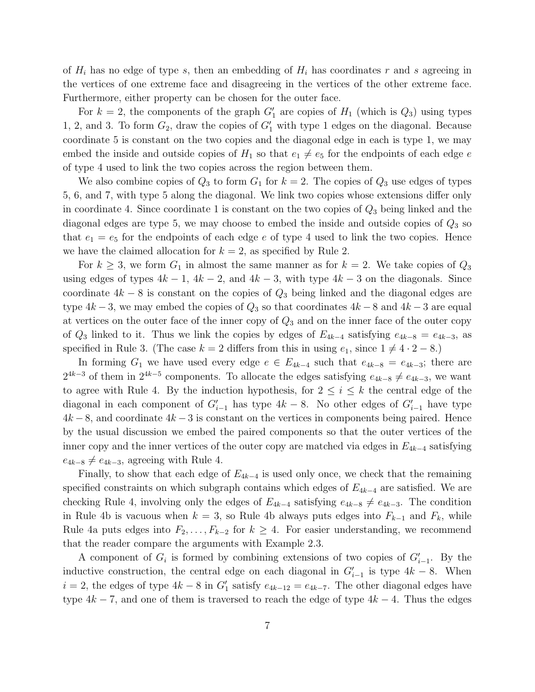of  $H_i$  has no edge of type s, then an embedding of  $H_i$  has coordinates r and s agreeing in the vertices of one extreme face and disagreeing in the vertices of the other extreme face. Furthermore, either property can be chosen for the outer face.

For  $k = 2$ , the components of the graph  $G'_1$  are copies of  $H_1$  (which is  $Q_3$ ) using types 1, 2, and 3. To form  $G_2$ , draw the copies of  $G'_1$  with type 1 edges on the diagonal. Because coordinate 5 is constant on the two copies and the diagonal edge in each is type 1, we may embed the inside and outside copies of  $H_1$  so that  $e_1 \neq e_5$  for the endpoints of each edge e of type 4 used to link the two copies across the region between them.

We also combine copies of  $Q_3$  to form  $G_1$  for  $k = 2$ . The copies of  $Q_3$  use edges of types 5, 6, and 7, with type 5 along the diagonal. We link two copies whose extensions differ only in coordinate 4. Since coordinate 1 is constant on the two copies of  $Q_3$  being linked and the diagonal edges are type 5, we may choose to embed the inside and outside copies of  $Q_3$  so that  $e_1 = e_5$  for the endpoints of each edge e of type 4 used to link the two copies. Hence we have the claimed allocation for  $k = 2$ , as specified by Rule 2.

For  $k \geq 3$ , we form  $G_1$  in almost the same manner as for  $k = 2$ . We take copies of  $Q_3$ using edges of types  $4k - 1$ ,  $4k - 2$ , and  $4k - 3$ , with type  $4k - 3$  on the diagonals. Since coordinate  $4k - 8$  is constant on the copies of  $Q_3$  being linked and the diagonal edges are type  $4k-3$ , we may embed the copies of  $Q_3$  so that coordinates  $4k-8$  and  $4k-3$  are equal at vertices on the outer face of the inner copy of  $Q_3$  and on the inner face of the outer copy of  $Q_3$  linked to it. Thus we link the copies by edges of  $E_{4k-4}$  satisfying  $e_{4k-8} = e_{4k-3}$ , as specified in Rule 3. (The case  $k = 2$  differs from this in using  $e_1$ , since  $1 \neq 4 \cdot 2 - 8$ .)

In forming  $G_1$  we have used every edge  $e \in E_{4k-4}$  such that  $e_{4k-8} = e_{4k-3}$ ; there are  $2^{4k-3}$  of them in  $2^{4k-5}$  components. To allocate the edges satisfying  $e_{4k-8} \neq e_{4k-3}$ , we want to agree with Rule 4. By the induction hypothesis, for  $2 \leq i \leq k$  the central edge of the diagonal in each component of  $G'_{i-1}$  has type  $4k-8$ . No other edges of  $G'_{i-1}$  have type  $4k-8$ , and coordinate  $4k-3$  is constant on the vertices in components being paired. Hence by the usual discussion we embed the paired components so that the outer vertices of the inner copy and the inner vertices of the outer copy are matched via edges in  $E_{4k-4}$  satisfying  $e_{4k-8} \neq e_{4k-3}$ , agreeing with Rule 4.

Finally, to show that each edge of  $E_{4k-4}$  is used only once, we check that the remaining specified constraints on which subgraph contains which edges of  $E_{4k-4}$  are satisfied. We are checking Rule 4, involving only the edges of  $E_{4k-4}$  satisfying  $e_{4k-8} \neq e_{4k-3}$ . The condition in Rule 4b is vacuous when  $k = 3$ , so Rule 4b always puts edges into  $F_{k-1}$  and  $F_k$ , while Rule 4a puts edges into  $F_2, \ldots, F_{k-2}$  for  $k \geq 4$ . For easier understanding, we recommend that the reader compare the arguments with Example 2.3.

A component of  $G_i$  is formed by combining extensions of two copies of  $G'_{i-1}$ . By the inductive construction, the central edge on each diagonal in  $G'_{i-1}$  is type  $4k - 8$ . When  $i = 2$ , the edges of type  $4k - 8$  in  $G'_{1}$  satisfy  $e_{4k-12} = e_{4k-7}$ . The other diagonal edges have type  $4k - 7$ , and one of them is traversed to reach the edge of type  $4k - 4$ . Thus the edges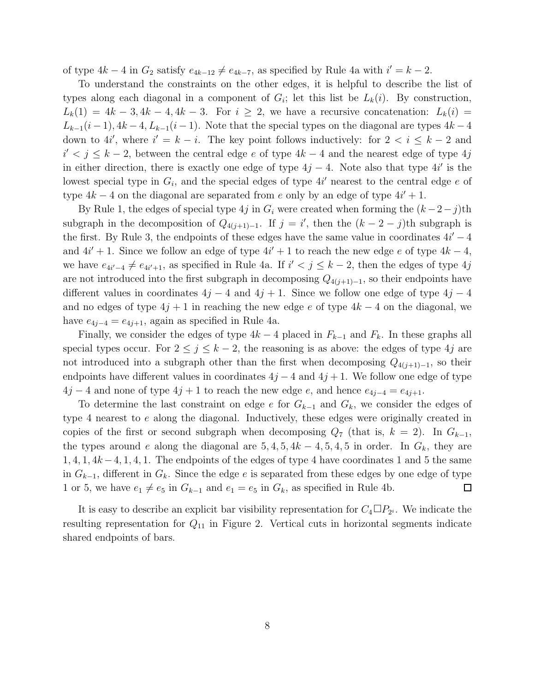of type  $4k - 4$  in  $G_2$  satisfy  $e_{4k-12} \neq e_{4k-7}$ , as specified by Rule 4a with  $i' = k - 2$ .

To understand the constraints on the other edges, it is helpful to describe the list of types along each diagonal in a component of  $G_i$ ; let this list be  $L_k(i)$ . By construction,  $L_k(1) = 4k - 3, 4k - 4, 4k - 3.$  For  $i \geq 2$ , we have a recursive concatenation:  $L_k(i) =$  $L_{k-1}(i-1), 4k-4, L_{k-1}(i-1)$ . Note that the special types on the diagonal are types  $4k-4$ down to 4*i'*, where  $i' = k - i$ . The key point follows inductively: for  $2 < i \leq k - 2$  and  $i'$  < j ≤ k − 2, between the central edge e of type  $4k-4$  and the nearest edge of type  $4j$ in either direction, there is exactly one edge of type  $4j - 4$ . Note also that type  $4i'$  is the lowest special type in  $G_i$ , and the special edges of type  $4i'$  nearest to the central edge e of type  $4k - 4$  on the diagonal are separated from e only by an edge of type  $4i' + 1$ .

By Rule 1, the edges of special type 4j in  $G_i$  were created when forming the  $(k-2-j)$ th subgraph in the decomposition of  $Q_{4(j+1)-1}$ . If  $j = i'$ , then the  $(k-2-j)$ th subgraph is the first. By Rule 3, the endpoints of these edges have the same value in coordinates  $4i' - 4$ and  $4i' + 1$ . Since we follow an edge of type  $4i' + 1$  to reach the new edge e of type  $4k - 4$ , we have  $e_{4i'-4} \neq e_{4i'+1}$ , as specified in Rule 4a. If  $i' < j \leq k-2$ , then the edges of type 4j are not introduced into the first subgraph in decomposing  $Q_{4(j+1)-1}$ , so their endpoints have different values in coordinates  $4j - 4$  and  $4j + 1$ . Since we follow one edge of type  $4j - 4$ and no edges of type  $4j + 1$  in reaching the new edge e of type  $4k - 4$  on the diagonal, we have  $e_{4j-4} = e_{4j+1}$ , again as specified in Rule 4a.

Finally, we consider the edges of type  $4k - 4$  placed in  $F_{k-1}$  and  $F_k$ . In these graphs all special types occur. For  $2 \leq j \leq k-2$ , the reasoning is as above: the edges of type 4j are not introduced into a subgraph other than the first when decomposing  $Q_{4(j+1)-1}$ , so their endpoints have different values in coordinates  $4j - 4$  and  $4j + 1$ . We follow one edge of type  $4j - 4$  and none of type  $4j + 1$  to reach the new edge e, and hence  $e_{4j-4} = e_{4j+1}$ .

To determine the last constraint on edge e for  $G_{k-1}$  and  $G_k$ , we consider the edges of type 4 nearest to e along the diagonal. Inductively, these edges were originally created in copies of the first or second subgraph when decomposing  $Q_7$  (that is,  $k = 2$ ). In  $G_{k-1}$ , the types around e along the diagonal are  $5, 4, 5, 4k - 4, 5, 4, 5$  in order. In  $G_k$ , they are  $1, 4, 1, 4k - 4, 1, 4, 1$ . The endpoints of the edges of type 4 have coordinates 1 and 5 the same in  $G_{k-1}$ , different in  $G_k$ . Since the edge e is separated from these edges by one edge of type 1 or 5, we have  $e_1 \neq e_5$  in  $G_{k-1}$  and  $e_1 = e_5$  in  $G_k$ , as specified in Rule 4b.  $\Box$ 

It is easy to describe an explicit bar visibility representation for  $C_4 \Box P_{2^i}$ . We indicate the resulting representation for  $Q_{11}$  in Figure 2. Vertical cuts in horizontal segments indicate shared endpoints of bars.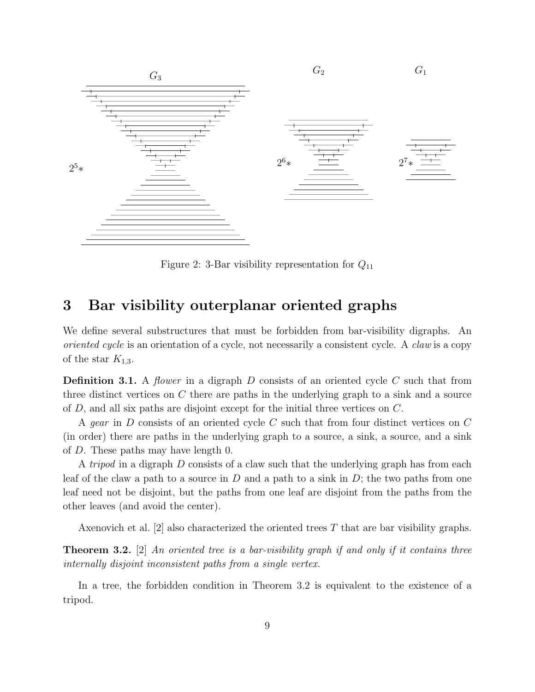

Figure 2: 3-Bar visibility representation for  $Q_{11}$ 

## 3 Bar visibility outerplanar oriented graphs

We define several substructures that must be forbidden from bar-visibility digraphs. An oriented cycle is an orientation of a cycle, not necessarily a consistent cycle. A claw is a copy of the star  $K_{1,3}$ .

**Definition 3.1.** A *flower* in a digraph D consists of an oriented cycle C such that from three distinct vertices on  $C$  there are paths in the underlying graph to a sink and a source of D, and all six paths are disjoint except for the initial three vertices on C.

A gear in D consists of an oriented cycle C such that from four distinct vertices on C (in order) there are paths in the underlying graph to a source, a sink, a source, and a sink of D. These paths may have length 0.

A *tripod* in a digraph D consists of a claw such that the underlying graph has from each leaf of the claw a path to a source in  $D$  and a path to a sink in  $D$ ; the two paths from one leaf need not be disjoint, but the paths from one leaf are disjoint from the paths from the other leaves (and avoid the center).

Axenovich et al. [2] also characterized the oriented trees T that are bar visibility graphs.

**Theorem 3.2.** [2] An oriented tree is a bar-visibility graph if and only if it contains three internally disjoint inconsistent paths from a single vertex.

In a tree, the forbidden condition in Theorem 3.2 is equivalent to the existence of a tripod.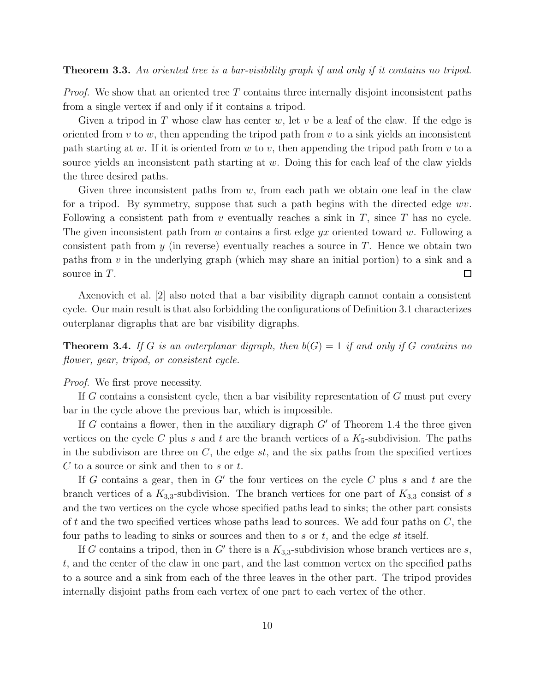**Theorem 3.3.** An oriented tree is a bar-visibility graph if and only if it contains no tripod.

*Proof.* We show that an oriented tree  $T$  contains three internally disjoint inconsistent paths from a single vertex if and only if it contains a tripod.

Given a tripod in T whose claw has center w, let v be a leaf of the claw. If the edge is oriented from  $v$  to  $w$ , then appending the tripod path from  $v$  to a sink yields an inconsistent path starting at w. If it is oriented from w to v, then appending the tripod path from  $v$  to a source yields an inconsistent path starting at w. Doing this for each leaf of the claw yields the three desired paths.

Given three inconsistent paths from  $w$ , from each path we obtain one leaf in the claw for a tripod. By symmetry, suppose that such a path begins with the directed edge  $wv$ . Following a consistent path from  $v$  eventually reaches a sink in  $T$ , since  $T$  has no cycle. The given inconsistent path from w contains a first edge  $yx$  oriented toward w. Following a consistent path from y (in reverse) eventually reaches a source in T. Hence we obtain two paths from  $v$  in the underlying graph (which may share an initial portion) to a sink and a source in T. □

Axenovich et al. [2] also noted that a bar visibility digraph cannot contain a consistent cycle. Our main result is that also forbidding the configurations of Definition 3.1 characterizes outerplanar digraphs that are bar visibility digraphs.

**Theorem 3.4.** If G is an outerplanar digraph, then  $b(G) = 1$  if and only if G contains no flower, gear, tripod, or consistent cycle.

*Proof.* We first prove necessity.

If G contains a consistent cycle, then a bar visibility representation of G must put every bar in the cycle above the previous bar, which is impossible.

If  $G$  contains a flower, then in the auxiliary digraph  $G'$  of Theorem 1.4 the three given vertices on the cycle C plus s and t are the branch vertices of a  $K_5$ -subdivision. The paths in the subdivison are three on  $C$ , the edge  $st$ , and the six paths from the specified vertices  $C$  to a source or sink and then to  $s$  or  $t$ .

If G contains a gear, then in  $G'$  the four vertices on the cycle C plus s and t are the branch vertices of a  $K_{3,3}$ -subdivision. The branch vertices for one part of  $K_{3,3}$  consist of s and the two vertices on the cycle whose specified paths lead to sinks; the other part consists of t and the two specified vertices whose paths lead to sources. We add four paths on  $C$ , the four paths to leading to sinks or sources and then to  $s$  or  $t$ , and the edge  $st$  itself.

If G contains a tripod, then in G' there is a  $K_{3,3}$ -subdivision whose branch vertices are s, t, and the center of the claw in one part, and the last common vertex on the specified paths to a source and a sink from each of the three leaves in the other part. The tripod provides internally disjoint paths from each vertex of one part to each vertex of the other.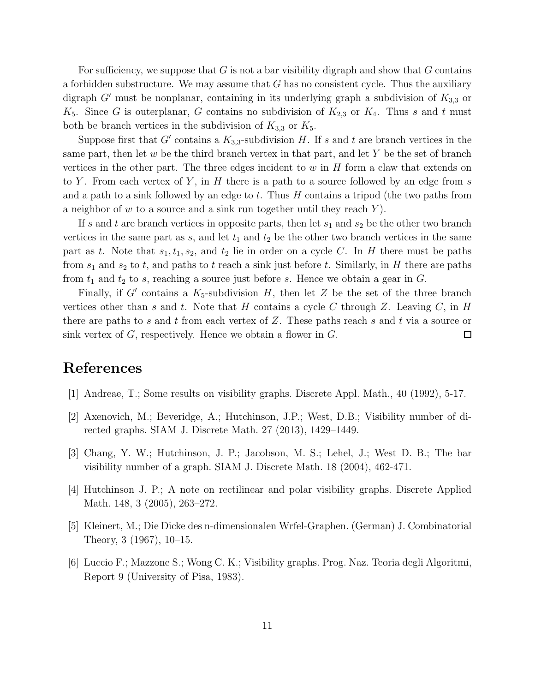For sufficiency, we suppose that G is not a bar visibility digraph and show that G contains a forbidden substructure. We may assume that  $G$  has no consistent cycle. Thus the auxiliary digraph  $G'$  must be nonplanar, containing in its underlying graph a subdivision of  $K_{3,3}$  or  $K_5$ . Since G is outerplanar, G contains no subdivision of  $K_{2,3}$  or  $K_4$ . Thus s and t must both be branch vertices in the subdivision of  $K_{3,3}$  or  $K_5$ .

Suppose first that G' contains a  $K_{3,3}$ -subdivision H. If s and t are branch vertices in the same part, then let  $w$  be the third branch vertex in that part, and let  $Y$  be the set of branch vertices in the other part. The three edges incident to  $w$  in  $H$  form a claw that extends on to Y. From each vertex of Y, in  $H$  there is a path to a source followed by an edge from  $s$ and a path to a sink followed by an edge to t. Thus  $H$  contains a tripod (the two paths from a neighbor of  $w$  to a source and a sink run together until they reach Y.

If s and t are branch vertices in opposite parts, then let  $s_1$  and  $s_2$  be the other two branch vertices in the same part as  $s$ , and let  $t_1$  and  $t_2$  be the other two branch vertices in the same part as t. Note that  $s_1, t_1, s_2$ , and  $t_2$  lie in order on a cycle C. In H there must be paths from  $s_1$  and  $s_2$  to t, and paths to t reach a sink just before t. Similarly, in H there are paths from  $t_1$  and  $t_2$  to s, reaching a source just before s. Hence we obtain a gear in  $G$ .

Finally, if  $G'$  contains a  $K_5$ -subdivision  $H$ , then let  $Z$  be the set of the three branch vertices other than s and t. Note that H contains a cycle C through Z. Leaving C, in H there are paths to s and t from each vertex of  $Z$ . These paths reach s and t via a source or sink vertex of  $G$ , respectively. Hence we obtain a flower in  $G$ .  $\Box$ 

### References

- [1] Andreae, T.; Some results on visibility graphs. Discrete Appl. Math., 40 (1992), 5-17.
- [2] Axenovich, M.; Beveridge, A.; Hutchinson, J.P.; West, D.B.; Visibility number of directed graphs. SIAM J. Discrete Math. 27 (2013), 1429–1449.
- [3] Chang, Y. W.; Hutchinson, J. P.; Jacobson, M. S.; Lehel, J.; West D. B.; The bar visibility number of a graph. SIAM J. Discrete Math. 18 (2004), 462-471.
- [4] Hutchinson J. P.; A note on rectilinear and polar visibility graphs. Discrete Applied Math. 148, 3 (2005), 263–272.
- [5] Kleinert, M.; Die Dicke des n-dimensionalen Wrfel-Graphen. (German) J. Combinatorial Theory, 3 (1967), 10–15.
- [6] Luccio F.; Mazzone S.; Wong C. K.; Visibility graphs. Prog. Naz. Teoria degli Algoritmi, Report 9 (University of Pisa, 1983).